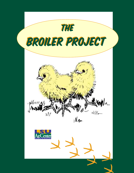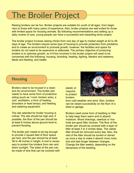# The Broiler Project

Raising broilers can be fun. Broiler projects are suitable for youth of all ages, from beginners to those with many years of experience. Also, broiler projects are well suited for those with limited space for housing animals. By following recommendations and setting up a daily routine of care, young people can have a successful and rewarding show project.

The broiler project involves raising chicks from one day of age to market weight at 42 to 49 days of age. The broilers require some type of housing to provide protection from predators and to create an environment to promote growth; however, the facilities and space for broilers do not need to be expensive or elaborate. The primary objective of producing broilers is to optimize growth, so 4-H'ers involved in the broiler project will need to be concerned with the following: housing, brooding, heating, lighting, feeders and waterers, feeds and feeding, and health.

#### **Housing**

Broilers need to be housed in a clean and dry environment. The broiler pen needs to have some form of protective siding (such as 1-inch chicken wire), a roof, ventilation, a form of heating (brooders or heat lamps), and feeding and watering equipment.

The site selected for broiler housing is critical. The site should be high and, if possible, the floor of the pen should be at least 6 inches above ground level to prevent flooding.

The broiler pen needs to be big enough to provide 2 square feet of floor space per bird, and the pen should be at least 36 to 48 inches in height. A roof is necessary to protect the broilers from rain and direct sunlight. The sides of the pen can be made of wire that can be covered with



plastic or **visquine** to protect broilers

from cold weather and wind. Also, broilers can be raised successfully on the floor of a shed or garage.

Broilers need some form of bedding or litter to help keep them warm and to absorb moisture. Wood shavings, sawdust or rice hulls are good litter choices. The floor of the broiler pen should be covered with a layer of litter at least 3 to 4 inches deep. The caked litter should be removed every day. Also, the rest of the litter should be turned or stirred up once a day to make it absorb more moisture and last longer between changes. Change the litter weekly, depending on the dampness of the bedding.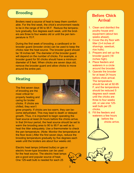#### **Brooding**

Broilers need a source of heat to keep them comfortable. For the first week, the chick's environment needs to be in the range of 90 to 95 F. Reduce the temperature gradually, five degrees each week, until the broilers are three to four weeks old or until the pen temperature is 70 F.

During the first week of brooding, a cardboard or tin brooder guard (brooder circle) can be used to keep the chicks near the heat source. The brooder guard should be 18 inches tall. The diameter of the brooder guard will depend on the number of chicks. For example, a brooder guard for 50 chicks should have a minimum diameter of 5 feet. When chicks are seven days old, remove the brooder guard and allow chicks to move around the entire pen.

#### **Heating**

The first seven days of brooding are the most critical for properly heating and caring for broiler chicks. If chicks are chilled, they won't



grow properly. If chicks are too warm, they can become dehydrated. This may lead to death or delayed growth. Thus, it is important to begin operating the heat source at least 24 hours before the chicks arrive. In that 24-hour period, the heat source should be set to warm the brooding area to 90 to 95 F as well as to heat the litter adequately. Use a thermometer to check the pen temperature. (Note: Monitor the temperature at the floor level.) After the first seven days, reduce the brooding temperature gradually by five degrees each week until the broilers are about four weeks old.

Electric heat lamps (infrared bulbs) or gas or electric hover-type brooders can be used for the heat source. The electric heat lamps are a good and popular source of heat. One 125-watt bulb is needed for each 25

# **Before Chick Arrival**

- 1. Clean and disinfect the poultry house and equipment (about two weeks ahead).
- 2. Cover the dry floor with litter (3-4 inches of shavings, sawdust, rice hulls).
- 3. Prepare and set up the brooder guard (18 inches high).
- 4. Place feeders and waterers in a circle around the brooder.
- 5. Operate the brooder for at least 24 hours before chick arrival. The temperature should be set at 92-95 F, and the temperature should be reduced 5 degrees each week until the chicks are three to four weeks old, or use one 125 watt bulb per 25 chicks.
- 6. Fill the feeders and waterers a few hours before the chicks arrive.

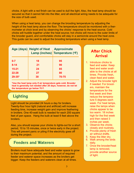chicks. A light with a red finish can be used to dull the light. Also, the heat lamp should be secured so that it cannot fall into the litter, and all electrical wiring needs to be adequate for the size of bulb used.

When using a heat lamp, you can change the brooding temperature by adjusting the height of the heat lamp above the floor. The temperature should be monitored with a thermometer at chick level and by observing the chicks' response to the heat source. Cold chicks will huddle together under the heat source; hot chicks will move to the outer limits of the brooder guard, and comfortable chicks will stay in a semicircle around the heat zone. This guide can be used to adjust the brooding temperature when using a heat lamp.

|            | Age (days) Height of Heat Approximate | Lamp (inches) Temperature (°F) |
|------------|---------------------------------------|--------------------------------|
| $0 - 7$    | 18                                    | 95                             |
| $8 - 14$   | 21                                    | 90                             |
| $15 - 21$  | 24                                    | 85                             |
| $22 - 28$  | 27                                    | 80                             |
| $29 - 35*$ | 30                                    | 70-75                          |

**\*Use the heat lamp only if air temperature gets cold. Brooder heat is generally not needed after 28 days; however, do not let the temperature go below 70 F.**

# **Lighting**

Light should be provided 24 hours a day for broilers. Twenty-four hour light (natural and artificial) will increase feeding time, increase weight gain and improve feathering in broilers. One 40-watt bulb is needed for each 200 square feet of pen space. Hang the bulb at least 6 feet above the broilers.

Also, you should expose your chicks to lights-out for a short period, 10 to 15 minutes, once or twice early in the project. This will prevent panic or piling if the electricity goes off during the project.

# **Feeders and Waterers**

Broilers must have adequate feed and water space to grow to their maximum potential, and the amount of required feeder and waterer space increases as the broilers get bigger. Keep the feeders and waterers clean at all times.

## **After Chick Arrival**

- 1. Introduce chicks to feed and water. Keep feed and water available to the chicks at all times. Provide fresh, clean feed and water.
- 2. Adjust the brooder light if needed. For brooders, maintain the temperature for the first week and then reduce the temperature 5 degrees each week. For heat lamps, raise the lamps when chicks appear to be too warm: 18 inches high for the first week and then raised 3 inches per week.
- 3. Observe the chicks closely and routinely.
- 4. Provide plenty of fresh air without drafts.
- 5. Keep the litter dry.
- 6. Walk among the birds daily.
- 7. Once the brooder/heat lamp is removed, provide another source of light.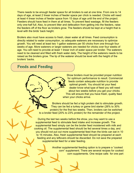There needs to be enough feeder space for all broilers to eat at one time. From one to 14 days of age, at least 2 linear inches of feeder space per chick is needed. Chicks will need at least 4 linear inches of feeder space from 15 days of age until the end of the project. Feeders should have feed in them at all times. To prevent feed wastage, fill the feeders only one-half full. Also, to prevent litter and defecation from getting into the feeders, raise the feeders off of the floor as broilers grow. The feeders should be kept at a height that is level with the birds' back height.

Broilers also must have access to fresh, clean water at all times. Feed consumption is directly related to water consumption, so adequate waterers are necessary to optimize growth. You will need at least two 1-gallon waterers per 50 chicks from one through four weeks of age. More waterers or larger waterers are needed for chicks over four weeks of age. You will need to provide at least 1 linear inch of water space per broiler. The waterers need to be cleaned and filled with fresh water daily. The height of the waterers needs to be raised as the broilers grow. The lip of the waterer should be level with the height of the broilers' backs.

#### **Feeds and Feeding**

Show broilers must be provided proper nutrition for optimum performance to result. Commercial feeds contain adequate nutrition to provide optimal growth. You should let your feed dealer know what type of feed you will need about two weeks before you get your chicks. This will ensure that you have fresh, quality feed when your chicks arrive.

Broilers should be fed a high protein diet to stimulate growth. They can be fed a turkey or game bird starter (26% to 30% protein) for the first two weeks. Then, broilers can be switched to a broiler feed (20% to 23% protein) for the remainder of the project.

During the last two weeks before the show, you may want to use a supplemental feed to stimulate feed intake and increase growth. The supplemental feed simply can be the broiler feed moistened with milk and cooking oil. The supplemental feed should be fed several times a day, and you should not put out more supplemental feed than the birds can eat in 10 to 15 minutes. Also, fresh supplemental feed should be prepared at each feeding and any leftovers should be discarded. Do not save the prepared supplemental feed for a later feeding.

4

Another supplemental feeding option is to prepare a "cooked corn" supplement. There are several recipes for cooked corn supplements. One recipe calls for one part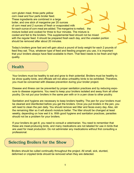corn gluten meal, three parts yellow corn meal and four parts broiler feed. These ingredients are combined in a large boiler, and one stick of margarine per 20 ounces of corn meal and 2 ounces of fresh or evaporated milk for each ounce of corn meal are added. The margarine is melted, the mixture boiled and cooked for three to four minutes. The mixture is cooled and fed to the broilers. This supplemental feed should not be mixed with the regular feed. It should be prepared fresh each day, and the uneaten portion should be removed after about 20 minutes.

Today's broilers grow fast and will gain about a pound of body weight for each 2 pounds of feed they eat. Thus, whatever type of feed and feeding program you use, it is important that your broilers always have feed available to them. That feed needs to be fresh and high quality.

#### **Health**

Your broilers must be healthy to eat and grow to their potential. Broilers must be healthy to be show quality birds, and officials will not allow unhealthy birds to be exhibited. Therefore, you must be concerned with disease prevention during your broiler project.

Disease and illness can be prevented by proper sanitation practices and by reducing exposure to disease organisms. You need to keep your broilers isolated and away from all other poultry. Do not put your broilers in the same pen with or in a pen close to other poultry.

Sanitation and hygiene are necessary to keep broilers healthy. The pen for your broilers must be cleaned and disinfected before you get the broilers. Once you put broilers in the pen, you will need to clean the pen daily. You should remove wet litter and feces every day. Also, stir the remaining litter so it will absorb moisture better. The litter should be changed at least weekly, depending on how wet it is. With good hygiene and sanitation practices, parasites should not be a problem for your broilers.

If your broilers do get ill, you need to consult a veterinarian. You need to remember that these are meat-producing birds, and many medications are not labeled for use in birds that are used for meat production. Do not administer any medications without first consulting a professional.

### **Selecting Broilers for the Show**

Broilers should be culled continually throughout the project. All small, sick, stunted, deformed or crippled birds should be removed when they are detected.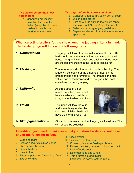#### **Two weeks before the show, you should:**

- a. Conduct a preliminary selection for the entry,
- b. Select (keep) two to three broilers for each one needed for the show,

#### **Two days before the show, you should:**

- a. Construct a temporary catch pen or coop.
- b. Weigh each broiler.
- c. Eliminate birds outside the weight range.
- d. Examine each "keeper" bird for defects.
- e. Select entry using judging guidelines.
- f. Separate selected birds and alternates in a special pen.

#### **When selecting broilers for the show, keep the judging criteria in mind. The broiler judge will look at the following traits.**

| 1. Conformation -      | The judge will look at the overall shape of the bird. The<br>bird should be rectangular. A long and straight breast<br>bone, a long and wide back, and a full and deep body<br>are the positive traits that the judge is looking for.                           |  |
|------------------------|-----------------------------------------------------------------------------------------------------------------------------------------------------------------------------------------------------------------------------------------------------------------|--|
| 2. Fleshing -          | The amount and distribution of muscle is fleshing. The<br>judge will be looking at the amount of meat on the<br>breast, thighs and drumsticks. The breast is the most<br>valued part of the broiler and will be given the most<br>consideration during judging. |  |
| 3. Uniformity -        | All three birds in a pen<br>should be alike. They should<br>be as similar as possible in<br>size, shape, fleshing and finish.                                                                                                                                   |  |
| 4. $Finish -$          | The judge will look for fat in<br>and immediately under the<br>skin. Well-finished birds will<br>have a uniform layer of fat.                                                                                                                                   |  |
| 5. Skin pigmentation - | Skin color is a minor trait that the judge will evaluate. The<br>skin should be yellowish.                                                                                                                                                                      |  |

#### **In addition, you need to make sure that your show broilers do not have any of the following defects:**

- 1. Cuts and tears
- 2. Broken and/or disjointed bones
- 3. Skin or flesh bruises
- 4. Breast blisters
- 5. Insect bites
- 6. External parasites (mites, lice, fleas)
- 7. Extremely dirty
- 8. Discoloration
- 9. Excessive pin feathers
- 10. Crooked, dented or V-shaped breast
- 11. Narrow, crooked, humped or hunched backs
- 12. Lack of body depth
- 13. Deformed legs and wings
- 14. Thin drumsticks and thighs
- 15. Lack of fat in heavy feather tracks